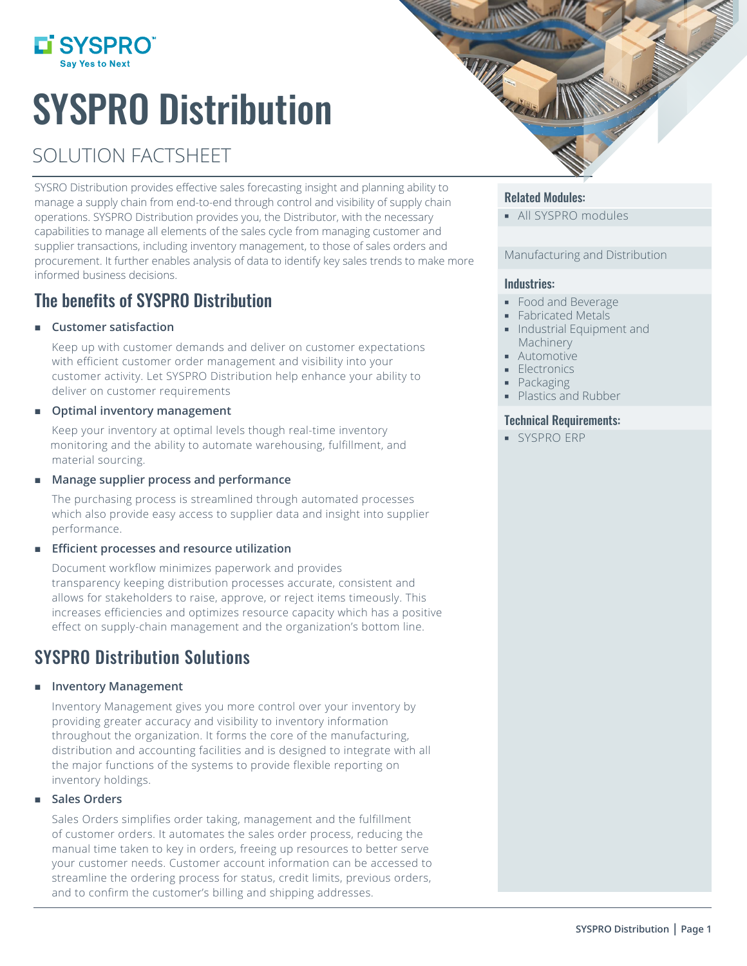

# SYSPRO Distribution

# SOLUTION FACTSHEET

SYSRO Distribution provides effective sales forecasting insight and planning ability to manage a supply chain from end-to-end through control and visibility of supply chain operations. SYSPRO Distribution provides you, the Distributor, with the necessary capabilities to manage all elements of the sales cycle from managing customer and supplier transactions, including inventory management, to those of sales orders and procurement. It further enables analysis of data to identify key sales trends to make more informed business decisions.

# The benefits of SYSPRO Distribution

## **Customer satisfaction**

Keep up with customer demands and deliver on customer expectations with efficient customer order management and visibility into your customer activity. Let SYSPRO Distribution help enhance your ability to deliver on customer requirements

## **Optimal inventory management**

Keep your inventory at optimal levels though real-time inventory monitoring and the ability to automate warehousing, fulfillment, and material sourcing.

## **Manage supplier process and performance**

The purchasing process is streamlined through automated processes which also provide easy access to supplier data and insight into supplier performance.

## **Efficient processes and resource utilization**

Document workflow minimizes paperwork and provides transparency keeping distribution processes accurate, consistent and allows for stakeholders to raise, approve, or reject items timeously. This increases efficiencies and optimizes resource capacity which has a positive effect on supply-chain management and the organization's bottom line.

## SYSPRO Distribution Solutions

## **Inventory Management**

Inventory Management gives you more control over your inventory by providing greater accuracy and visibility to inventory information throughout the organization. It forms the core of the manufacturing, distribution and accounting facilities and is designed to integrate with all the major functions of the systems to provide flexible reporting on inventory holdings.

## **Sales Orders**

Sales Orders simplifies order taking, management and the fulfillment of customer orders. It automates the sales order process, reducing the manual time taken to key in orders, freeing up resources to better serve your customer needs. Customer account information can be accessed to streamline the ordering process for status, credit limits, previous orders, and to confirm the customer's billing and shipping addresses.



## Related Modules:

**All SYSPRO modules** 

## Manufacturing and Distribution

## Industries:

- Food and Beverage
- **Fabricated Metals**
- **Industrial Equipment and** Machinery
- **Automotive**
- **Electronics**
- Packaging
- Plastics and Rubber

## Technical Requirements:

SYSPRO ERP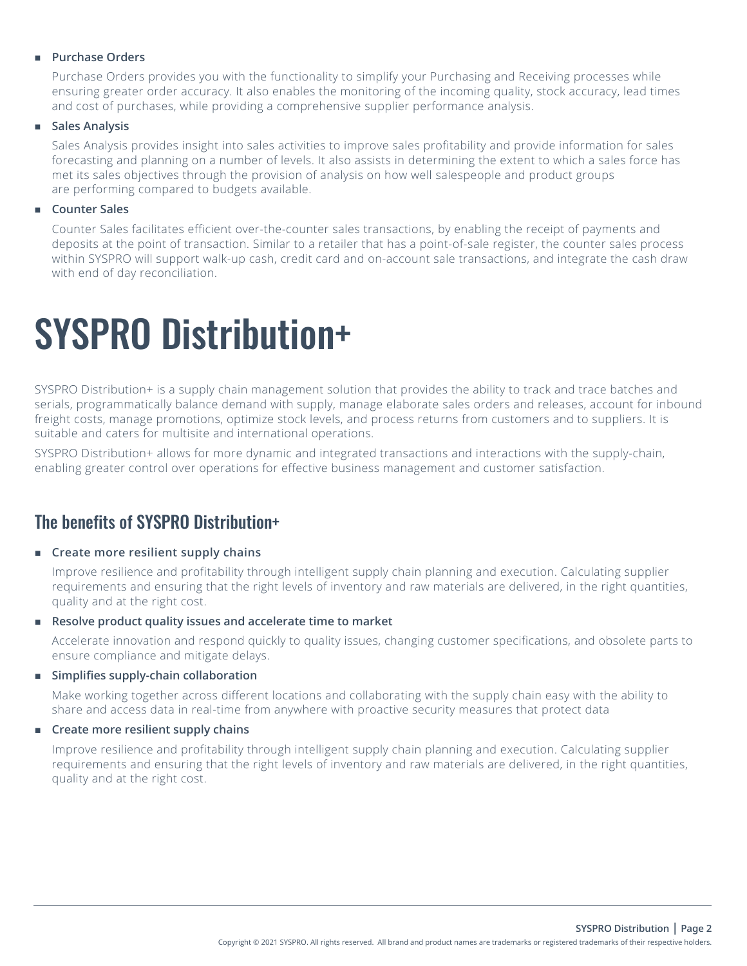## **Purchase Orders**

Purchase Orders provides you with the functionality to simplify your Purchasing and Receiving processes while ensuring greater order accuracy. It also enables the monitoring of the incoming quality, stock accuracy, lead times and cost of purchases, while providing a comprehensive supplier performance analysis.

## **Sales Analysis**

Sales Analysis provides insight into sales activities to improve sales profitability and provide information for sales forecasting and planning on a number of levels. It also assists in determining the extent to which a sales force has met its sales objectives through the provision of analysis on how well salespeople and product groups are performing compared to budgets available.

## **Counter Sales**

Counter Sales facilitates efficient over-the-counter sales transactions, by enabling the receipt of payments and deposits at the point of transaction. Similar to a retailer that has a point-of-sale register, the counter sales process within SYSPRO will support walk-up cash, credit card and on-account sale transactions, and integrate the cash draw with end of day reconciliation.

# SYSPRO Distribution+

SYSPRO Distribution+ is a supply chain management solution that provides the ability to track and trace batches and serials, programmatically balance demand with supply, manage elaborate sales orders and releases, account for inbound freight costs, manage promotions, optimize stock levels, and process returns from customers and to suppliers. It is suitable and caters for multisite and international operations.

SYSPRO Distribution+ allows for more dynamic and integrated transactions and interactions with the supply-chain, enabling greater control over operations for effective business management and customer satisfaction.

## The benefits of SYSPRO Distribution+

### **EXECTE Create more resilient supply chains**

Improve resilience and profitability through intelligent supply chain planning and execution. Calculating supplier requirements and ensuring that the right levels of inventory and raw materials are delivered, in the right quantities, quality and at the right cost.

### **Resolve product quality issues and accelerate time to market**

Accelerate innovation and respond quickly to quality issues, changing customer specifications, and obsolete parts to ensure compliance and mitigate delays.

## **Simplifies supply-chain collaboration**

Make working together across different locations and collaborating with the supply chain easy with the ability to share and access data in real-time from anywhere with proactive security measures that protect data

## **EXECTE Create more resilient supply chains**

Improve resilience and profitability through intelligent supply chain planning and execution. Calculating supplier requirements and ensuring that the right levels of inventory and raw materials are delivered, in the right quantities, quality and at the right cost.